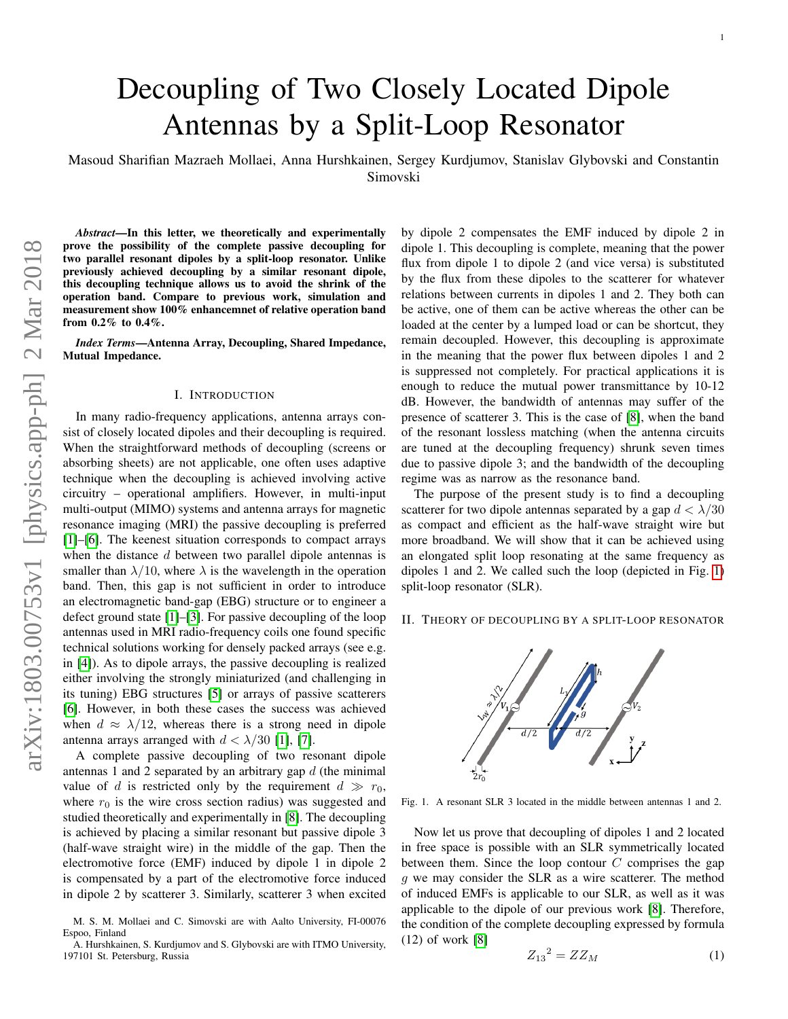Masoud Sharifian Mazraeh Mollaei, Anna Hurshkainen, Sergey Kurdjumov, Stanislav Glybovski and Constantin Simovski

*Abstract*—In this letter, we theoretically and experimentally prove the possibility of the complete passive decoupling for two parallel resonant dipoles by a split-loop resonator. Unlike previously achieved decoupling by a similar resonant dipole, this decoupling technique allows us to avoid the shrink of the operation band. Compare to previous work, simulation and measurement show 100% enhancemnet of relative operation band from 0.2% to 0.4%.

*Index Terms*—Antenna Array, Decoupling, Shared Impedance, Mutual Impedance.

### I. INTRODUCTION

In many radio-frequency applications, antenna arrays consist of closely located dipoles and their decoupling is required. When the straightforward methods of decoupling (screens or absorbing sheets) are not applicable, one often uses adaptive technique when the decoupling is achieved involving active circuitry – operational amplifiers. However, in multi-input multi-output (MIMO) systems and antenna arrays for magnetic resonance imaging (MRI) the passive decoupling is preferred [\[1\]](#page-3-0)–[\[6\]](#page-3-1). The keenest situation corresponds to compact arrays when the distance  $d$  between two parallel dipole antennas is smaller than  $\lambda/10$ , where  $\lambda$  is the wavelength in the operation band. Then, this gap is not sufficient in order to introduce an electromagnetic band-gap (EBG) structure or to engineer a defect ground state [\[1\]](#page-3-0)–[\[3\]](#page-3-2). For passive decoupling of the loop antennas used in MRI radio-frequency coils one found specific technical solutions working for densely packed arrays (see e.g. in [\[4\]](#page-3-3)). As to dipole arrays, the passive decoupling is realized either involving the strongly miniaturized (and challenging in its tuning) EBG structures [\[5\]](#page-3-4) or arrays of passive scatterers [\[6\]](#page-3-1). However, in both these cases the success was achieved when  $d \approx \lambda/12$ , whereas there is a strong need in dipole antenna arrays arranged with  $d < \lambda/30$  [\[1\]](#page-3-0), [\[7\]](#page-3-5).

A complete passive decoupling of two resonant dipole antennas 1 and 2 separated by an arbitrary gap  $d$  (the minimal value of d is restricted only by the requirement  $d \gg r_0$ , where  $r_0$  is the wire cross section radius) was suggested and studied theoretically and experimentally in [\[8\]](#page-3-6). The decoupling is achieved by placing a similar resonant but passive dipole 3 (half-wave straight wire) in the middle of the gap. Then the electromotive force (EMF) induced by dipole 1 in dipole 2 is compensated by a part of the electromotive force induced in dipole 2 by scatterer 3. Similarly, scatterer 3 when excited by dipole 2 compensates the EMF induced by dipole 2 in dipole 1. This decoupling is complete, meaning that the power flux from dipole 1 to dipole 2 (and vice versa) is substituted by the flux from these dipoles to the scatterer for whatever relations between currents in dipoles 1 and 2. They both can be active, one of them can be active whereas the other can be loaded at the center by a lumped load or can be shortcut, they remain decoupled. However, this decoupling is approximate in the meaning that the power flux between dipoles 1 and 2 is suppressed not completely. For practical applications it is enough to reduce the mutual power transmittance by 10-12 dB. However, the bandwidth of antennas may suffer of the presence of scatterer 3. This is the case of [\[8\]](#page-3-6), when the band of the resonant lossless matching (when the antenna circuits are tuned at the decoupling frequency) shrunk seven times due to passive dipole 3; and the bandwidth of the decoupling regime was as narrow as the resonance band.

The purpose of the present study is to find a decoupling scatterer for two dipole antennas separated by a gap  $d < \lambda/30$ as compact and efficient as the half-wave straight wire but more broadband. We will show that it can be achieved using an elongated split loop resonating at the same frequency as dipoles 1 and 2. We called such the loop (depicted in Fig. [1\)](#page-0-0) split-loop resonator (SLR).

# II. THEORY OF DECOUPLING BY A SPLIT-LOOP RESONATOR



<span id="page-0-0"></span>Fig. 1. A resonant SLR 3 located in the middle between antennas 1 and 2.

Now let us prove that decoupling of dipoles 1 and 2 located in free space is possible with an SLR symmetrically located between them. Since the loop contour  $C$  comprises the gap g we may consider the SLR as a wire scatterer. The method of induced EMFs is applicable to our SLR, as well as it was applicable to the dipole of our previous work [\[8\]](#page-3-6). Therefore, the condition of the complete decoupling expressed by formula (12) of work [\[8\]](#page-3-6)

 $\frac{1}{2}$ 

<span id="page-0-1"></span>
$$
Z_{13}^2 = ZZ_M \tag{1}
$$

M. S. M. Mollaei and C. Simovski are with Aalto University, FI-00076 Espoo, Finland

A. Hurshkainen, S. Kurdjumov and S. Glybovski are with ITMO University, 197101 St. Petersburg, Russia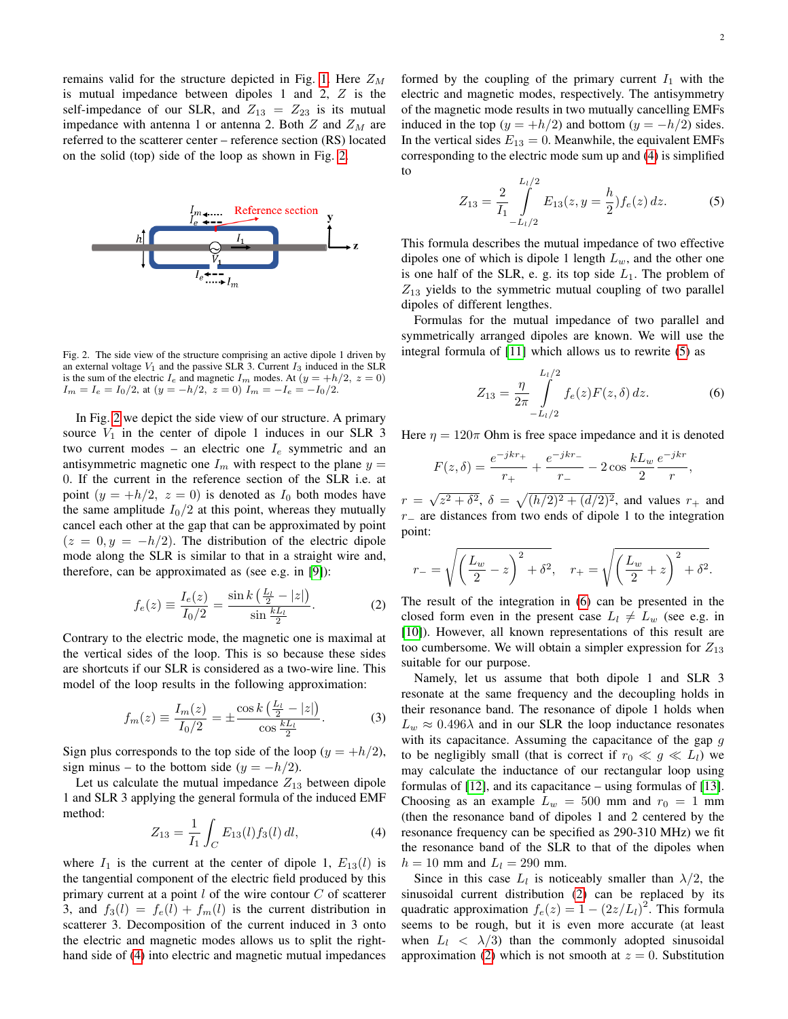remains valid for the structure depicted in Fig. [1.](#page-0-0) Here  $Z_M$ is mutual impedance between dipoles 1 and 2, Z is the self-impedance of our SLR, and  $Z_{13} = Z_{23}$  is its mutual impedance with antenna 1 or antenna 2. Both  $Z$  and  $Z_M$  are referred to the scatterer center – reference section (RS) located on the solid (top) side of the loop as shown in Fig. [2.](#page-1-0)



<span id="page-1-0"></span>Fig. 2. The side view of the structure comprising an active dipole 1 driven by an external voltage  $V_1$  and the passive SLR 3. Current  $I_3$  induced in the SLR is the sum of the electric  $I_e$  and magnetic  $I_m$  modes. At  $(y = +h/2, z = 0)$  $I_m = I_e = I_0/2$ , at  $(y = -h/2, z = 0) I_m = -I_e = -I_0/2$ .

In Fig. [2](#page-1-0) we depict the side view of our structure. A primary source  $V_1$  in the center of dipole 1 induces in our SLR 3 two current modes – an electric one  $I_e$  symmetric and an antisymmetric magnetic one  $I_m$  with respect to the plane  $y =$ 0. If the current in the reference section of the SLR i.e. at point  $(y = +h/2, z = 0)$  is denoted as  $I_0$  both modes have the same amplitude  $I_0/2$  at this point, whereas they mutually cancel each other at the gap that can be approximated by point  $(z = 0, y = -h/2)$ . The distribution of the electric dipole mode along the SLR is similar to that in a straight wire and, therefore, can be approximated as (see e.g. in [\[9\]](#page-3-7)):

<span id="page-1-4"></span>
$$
f_e(z) \equiv \frac{I_e(z)}{I_0/2} = \frac{\sin k \left(\frac{L_l}{2} - |z|\right)}{\sin \frac{k L_l}{2}}.
$$
 (2)

Contrary to the electric mode, the magnetic one is maximal at the vertical sides of the loop. This is so because these sides are shortcuts if our SLR is considered as a two-wire line. This model of the loop results in the following approximation:

$$
f_m(z) \equiv \frac{I_m(z)}{I_0/2} = \pm \frac{\cos k \left(\frac{L_l}{2} - |z|\right)}{\cos \frac{kL_l}{2}}.
$$
 (3)

Sign plus corresponds to the top side of the loop ( $y = +h/2$ ), sign minus – to the bottom side  $(y = -h/2)$ .

Let us calculate the mutual impedance  $Z_{13}$  between dipole 1 and SLR 3 applying the general formula of the induced EMF method:

<span id="page-1-1"></span>
$$
Z_{13} = \frac{1}{I_1} \int_C E_{13}(l) f_3(l) \, dl,\tag{4}
$$

where  $I_1$  is the current at the center of dipole 1,  $E_{13}(l)$  is the tangential component of the electric field produced by this primary current at a point  $l$  of the wire contour  $C$  of scatterer 3, and  $f_3(l) = f_e(l) + f_m(l)$  is the current distribution in scatterer 3. Decomposition of the current induced in 3 onto the electric and magnetic modes allows us to split the righthand side of [\(4\)](#page-1-1) into electric and magnetic mutual impedances formed by the coupling of the primary current  $I_1$  with the electric and magnetic modes, respectively. The antisymmetry of the magnetic mode results in two mutually cancelling EMFs induced in the top ( $y = +h/2$ ) and bottom ( $y = -h/2$ ) sides. In the vertical sides  $E_{13} = 0$ . Meanwhile, the equivalent EMFs corresponding to the electric mode sum up and [\(4\)](#page-1-1) is simplified to

<span id="page-1-2"></span>
$$
Z_{13} = \frac{2}{I_1} \int_{-L_1/2}^{L_1/2} E_{13}(z, y = \frac{h}{2}) f_e(z) dz.
$$
 (5)

This formula describes the mutual impedance of two effective dipoles one of which is dipole 1 length  $L_w$ , and the other one is one half of the SLR, e. g. its top side  $L_1$ . The problem of  $Z_{13}$  yields to the symmetric mutual coupling of two parallel dipoles of different lengthes.

Formulas for the mutual impedance of two parallel and symmetrically arranged dipoles are known. We will use the integral formula of [\[11\]](#page-3-8) which allows us to rewrite [\(5\)](#page-1-2) as

<span id="page-1-3"></span>
$$
Z_{13} = \frac{\eta}{2\pi} \int_{-L_l/2}^{L_l/2} f_e(z) F(z, \delta) dz.
$$
 (6)

Here  $\eta = 120\pi$  Ohm is free space impedance and it is denoted

$$
F(z,\delta) = \frac{e^{-jkr_+}}{r_+} + \frac{e^{-jkr_-}}{r_-} - 2\cos\frac{kL_w}{2}\frac{e^{-jkr}}{r},
$$

 $r =$ √  $\sqrt{(h/2)^2 + (d/2)^2}$ , and values  $r_+$  and  $r_$  are distances from two ends of dipole 1 to the integration point:

$$
r_{-} = \sqrt{\left(\frac{L_w}{2} - z\right)^2 + \delta^2}, \quad r_{+} = \sqrt{\left(\frac{L_w}{2} + z\right)^2 + \delta^2}.
$$

The result of the integration in [\(6\)](#page-1-3) can be presented in the closed form even in the present case  $L_l \neq L_w$  (see e.g. in [\[10\]](#page-3-9)). However, all known representations of this result are too cumbersome. We will obtain a simpler expression for  $Z_{13}$ suitable for our purpose.

Namely, let us assume that both dipole 1 and SLR 3 resonate at the same frequency and the decoupling holds in their resonance band. The resonance of dipole 1 holds when  $L_w \approx 0.496\lambda$  and in our SLR the loop inductance resonates with its capacitance. Assuming the capacitance of the gap  $g$ to be negligibly small (that is correct if  $r_0 \ll g \ll L_l$ ) we may calculate the inductance of our rectangular loop using formulas of [\[12\]](#page-3-10), and its capacitance – using formulas of [\[13\]](#page-3-11). Choosing as an example  $L_w = 500$  mm and  $r_0 = 1$  mm (then the resonance band of dipoles 1 and 2 centered by the resonance frequency can be specified as 290-310 MHz) we fit the resonance band of the SLR to that of the dipoles when  $h = 10$  mm and  $L_l = 290$  mm.

Since in this case  $L_l$  is noticeably smaller than  $\lambda/2$ , the sinusoidal current distribution [\(2\)](#page-1-4) can be replaced by its quadratic approximation  $f_e(z) = 1 - (2z/L_l)^2$ . This formula seems to be rough, but it is even more accurate (at least when  $L_l < \lambda/3$ ) than the commonly adopted sinusoidal approximation [\(2\)](#page-1-4) which is not smooth at  $z = 0$ . Substitution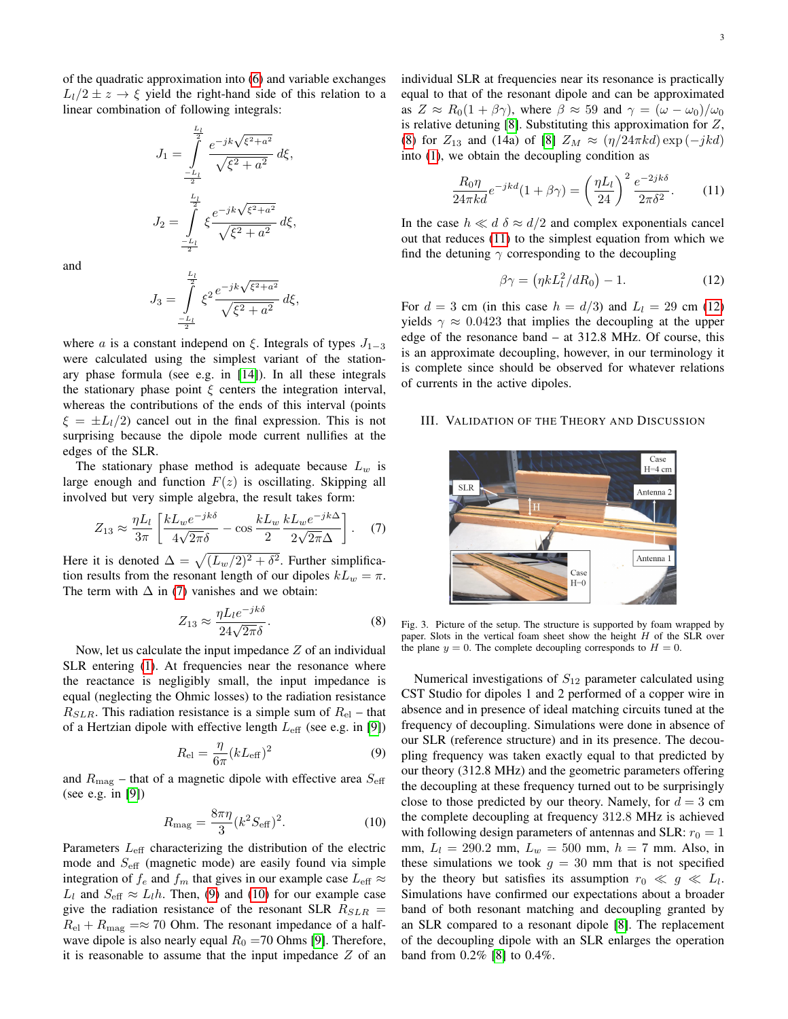of the quadratic approximation into [\(6\)](#page-1-3) and variable exchanges  $L_1/2 \pm z \rightarrow \xi$  yield the right-hand side of this relation to a linear combination of following integrals:

$$
J_1 = \int_{-\frac{L_l}{2}}^{\frac{L_l}{2}} \frac{e^{-jk\sqrt{\xi^2 + a^2}}}{\sqrt{\xi^2 + a^2}} d\xi,
$$
  

$$
J_2 = \int_{-\frac{L_l}{2}}^{\frac{L_l}{2}} \xi \frac{e^{-jk\sqrt{\xi^2 + a^2}}}{\sqrt{\xi^2 + a^2}} d\xi,
$$

and

$$
J_3 = \int_{-\frac{L_l}{2}}^{\frac{L_l}{2}} \xi^2 \frac{e^{-jk\sqrt{\xi^2 + a^2}}}{\sqrt{\xi^2 + a^2}} d\xi,
$$

where a is a constant independ on  $\xi$ . Integrals of types  $J_{1-3}$ were calculated using the simplest variant of the stationary phase formula (see e.g. in [\[14\]](#page-3-12)). In all these integrals the stationary phase point  $\xi$  centers the integration interval, whereas the contributions of the ends of this interval (points  $\xi = \pm L_1/2$  cancel out in the final expression. This is not surprising because the dipole mode current nullifies at the edges of the SLR.

The stationary phase method is adequate because  $L_w$  is large enough and function  $F(z)$  is oscillating. Skipping all involved but very simple algebra, the result takes form:

<span id="page-2-0"></span>
$$
Z_{13} \approx \frac{\eta L_l}{3\pi} \left[ \frac{k L_w e^{-jk\delta}}{4\sqrt{2\pi}\delta} - \cos \frac{k L_w}{2} \frac{k L_w e^{-jk\Delta}}{2\sqrt{2\pi}\Delta} \right]. \tag{7}
$$

Here it is denoted  $\Delta = \sqrt{(L_w/2)^2 + \delta^2}$ . Further simplification results from the resonant length of our dipoles  $kL_w = \pi$ . The term with  $\Delta$  in [\(7\)](#page-2-0) vanishes and we obtain:

<span id="page-2-3"></span>
$$
Z_{13} \approx \frac{\eta L_l e^{-jk\delta}}{24\sqrt{2\pi}\delta}.
$$
 (8)

Now, let us calculate the input impedance  $Z$  of an individual SLR entering [\(1\)](#page-0-1). At frequencies near the resonance where the reactance is negligibly small, the input impedance is equal (neglecting the Ohmic losses) to the radiation resistance  $R_{SLR}$ . This radiation resistance is a simple sum of  $R_{el}$  – that of a Hertzian dipole with effective length  $L_{\text{eff}}$  (see e.g. in [\[9\]](#page-3-7))

<span id="page-2-1"></span>
$$
R_{\rm el} = \frac{\eta}{6\pi} (k L_{\rm eff})^2 \tag{9}
$$

and  $R_{\text{mag}}$  – that of a magnetic dipole with effective area  $S_{\text{eff}}$ (see e.g. in [\[9\]](#page-3-7))

<span id="page-2-2"></span>
$$
R_{\rm mag} = \frac{8\pi\eta}{3} (k^2 S_{\rm eff})^2.
$$
 (10)

Parameters  $L_{\text{eff}}$  characterizing the distribution of the electric mode and  $S_{\text{eff}}$  (magnetic mode) are easily found via simple integration of  $f_e$  and  $f_m$  that gives in our example case  $L_{\text{eff}} \approx$  $L_l$  and  $S_{\text{eff}} \approx L_l h$ . Then, [\(9\)](#page-2-1) and [\(10\)](#page-2-2) for our example case give the radiation resistance of the resonant SLR  $R_{SLR}$  =  $R_{\rm el} + R_{\rm mag} = \approx 70$  Ohm. The resonant impedance of a halfwave dipole is also nearly equal  $R_0$  =70 Ohms [\[9\]](#page-3-7). Therefore, it is reasonable to assume that the input impedance  $Z$  of an individual SLR at frequencies near its resonance is practically equal to that of the resonant dipole and can be approximated as  $Z \approx R_0(1 + \beta \gamma)$ , where  $\beta \approx 59$  and  $\gamma = (\omega - \omega_0)/\omega_0$ is relative detuning  $[8]$ . Substituting this approximation for  $Z$ , [\(8\)](#page-2-3) for  $Z_{13}$  and (14a) of [\[8\]](#page-3-6)  $Z_M \approx (\eta/24\pi kd) \exp(-jkd)$ into [\(1\)](#page-0-1), we obtain the decoupling condition as

<span id="page-2-4"></span>
$$
\frac{R_0 \eta}{24\pi kd} e^{-jkd} (1 + \beta \gamma) = \left(\frac{\eta L_l}{24}\right)^2 \frac{e^{-2jk\delta}}{2\pi \delta^2}.
$$
 (11)

In the case  $h \ll d \delta \approx d/2$  and complex exponentials cancel out that reduces [\(11\)](#page-2-4) to the simplest equation from which we find the detuning  $\gamma$  corresponding to the decoupling

<span id="page-2-5"></span>
$$
\beta \gamma = \left(\eta k L_l^2 / dR_0\right) - 1. \tag{12}
$$

For  $d = 3$  cm (in this case  $h = d/3$ ) and  $L<sub>l</sub> = 29$  cm [\(12\)](#page-2-5) yields  $\gamma \approx 0.0423$  that implies the decoupling at the upper edge of the resonance band – at 312.8 MHz. Of course, this is an approximate decoupling, however, in our terminology it is complete since should be observed for whatever relations of currents in the active dipoles.

## III. VALIDATION OF THE THEORY AND DISCUSSION



Fig. 3. Picture of the setup. The structure is supported by foam wrapped by paper. Slots in the vertical foam sheet show the height  $H$  of the SLR over the plane  $y = 0$ . The complete decoupling corresponds to  $H = 0$ .

<span id="page-2-6"></span>Numerical investigations of  $S_{12}$  parameter calculated using CST Studio for dipoles 1 and 2 performed of a copper wire in absence and in presence of ideal matching circuits tuned at the frequency of decoupling. Simulations were done in absence of our SLR (reference structure) and in its presence. The decoupling frequency was taken exactly equal to that predicted by our theory (312.8 MHz) and the geometric parameters offering the decoupling at these frequency turned out to be surprisingly close to those predicted by our theory. Namely, for  $d = 3$  cm the complete decoupling at frequency 312.8 MHz is achieved with following design parameters of antennas and SLR:  $r_0 = 1$ mm,  $L_l = 290.2$  mm,  $L_w = 500$  mm,  $h = 7$  mm. Also, in these simulations we took  $g = 30$  mm that is not specified by the theory but satisfies its assumption  $r_0 \ll g \ll L_l$ . Simulations have confirmed our expectations about a broader band of both resonant matching and decoupling granted by an SLR compared to a resonant dipole [\[8\]](#page-3-6). The replacement of the decoupling dipole with an SLR enlarges the operation band from 0.2% [\[8\]](#page-3-6) to 0.4%.